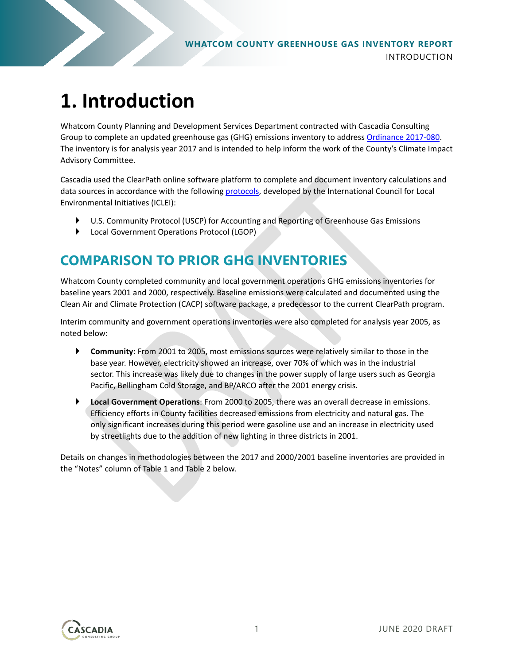# **1. Introduction**

Whatcom County Planning and Development Services Department contracted with Cascadia Consulting Group to complete an updated greenhouse gas (GHG) emissions inventory to address [Ordinance 2017-080.](https://www.whatcomcounty.us/Archive/ViewFile/Item/14045) The inventory is for analysis year 2017 and is intended to help inform the work of the County's Climate Impact Advisory Committee.

Cascadia used the ClearPath online software platform to complete and document inventory calculations and data sources in accordance with the following [protocols,](https://icleiusa.org/ghg-protocols/#:%7E:text=The%20Local%20Government%20Operations%20Protocol,operated%20by%20a%20local%20government.) developed by the International Council for Local Environmental Initiatives (ICLEI):

- U.S. Community Protocol (USCP) for Accounting and Reporting of Greenhouse Gas Emissions
- Local Government Operations Protocol (LGOP)

### **COMPARISON TO PRIOR GHG INVENTORIES**

Whatcom County completed community and local government operations GHG emissions inventories for baseline years 2001 and 2000, respectively. Baseline emissions were calculated and documented using the Clean Air and Climate Protection (CACP) software package, a predecessor to the current ClearPath program.

Interim community and government operations inventories were also completed for analysis year 2005, as noted below:

- **Community**: From 2001 to 2005, most emissions sources were relatively similar to those in the base year. However, electricity showed an increase, over 70% of which was in the industrial sector. This increase was likely due to changes in the power supply of large users such as Georgia Pacific, Bellingham Cold Storage, and BP/ARCO after the 2001 energy crisis.
- **Local Government Operations**: From 2000 to 2005, there was an overall decrease in emissions. Efficiency efforts in County facilities decreased emissions from electricity and natural gas. The only significant increases during this period were gasoline use and an increase in electricity used by streetlights due to the addition of new lighting in three districts in 2001.

Details on changes in methodologies between the 2017 and 2000/2001 baseline inventories are provided in the "Notes" column of Table 1 and Table 2 below.

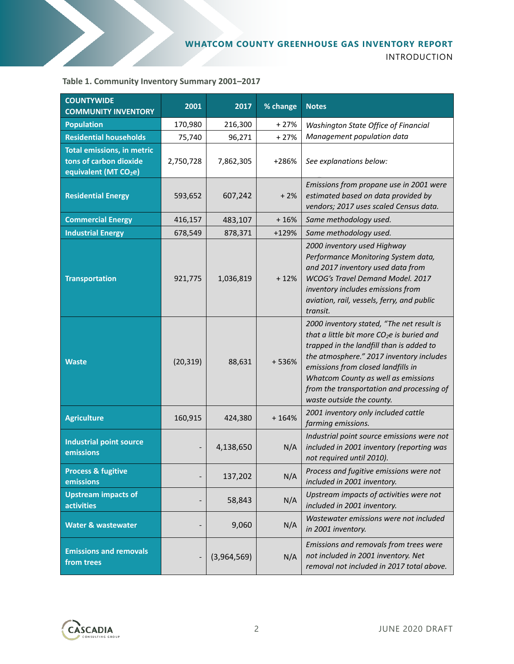

#### **Table 1. Community Inventory Summary 2001–2017**

| <b>COUNTYWIDE</b><br><b>COMMUNITY INVENTORY</b>                                                  | 2001                     | 2017        | % change                                                                                                                    | <b>Notes</b>                                                                                                                                                                                                                                                                                                                            |  |
|--------------------------------------------------------------------------------------------------|--------------------------|-------------|-----------------------------------------------------------------------------------------------------------------------------|-----------------------------------------------------------------------------------------------------------------------------------------------------------------------------------------------------------------------------------------------------------------------------------------------------------------------------------------|--|
| <b>Population</b>                                                                                | 170,980                  | 216,300     | $+27%$                                                                                                                      | Washington State Office of Financial                                                                                                                                                                                                                                                                                                    |  |
| <b>Residential households</b>                                                                    | 75,740                   | 96,271      | $+27%$                                                                                                                      | Management population data                                                                                                                                                                                                                                                                                                              |  |
| <b>Total emissions, in metric</b><br>tons of carbon dioxide<br>equivalent (MT CO <sub>2</sub> e) | 2,750,728                | 7,862,305   | +286%                                                                                                                       | See explanations below:                                                                                                                                                                                                                                                                                                                 |  |
| <b>Residential Energy</b>                                                                        | 593,652                  | 607,242     | $+2%$                                                                                                                       | Emissions from propane use in 2001 were<br>estimated based on data provided by<br>vendors; 2017 uses scaled Census data.                                                                                                                                                                                                                |  |
| <b>Commercial Energy</b>                                                                         | 416,157                  | 483,107     | $+16%$                                                                                                                      | Same methodology used.                                                                                                                                                                                                                                                                                                                  |  |
| <b>Industrial Energy</b>                                                                         | 678,549                  | 878,371     | +129%                                                                                                                       | Same methodology used.                                                                                                                                                                                                                                                                                                                  |  |
| <b>Transportation</b>                                                                            | 921,775                  | 1,036,819   | $+12%$                                                                                                                      | 2000 inventory used Highway<br>Performance Monitoring System data,<br>and 2017 inventory used data from<br>WCOG's Travel Demand Model. 2017<br>inventory includes emissions from<br>aviation, rail, vessels, ferry, and public<br>transit.                                                                                              |  |
| <b>Waste</b>                                                                                     | (20, 319)                | 88,631      | +536%                                                                                                                       | 2000 inventory stated, "The net result is<br>that a little bit more $CO2e$ is buried and<br>trapped in the landfill than is added to<br>the atmosphere." 2017 inventory includes<br>emissions from closed landfills in<br>Whatcom County as well as emissions<br>from the transportation and processing of<br>waste outside the county. |  |
| <b>Agriculture</b>                                                                               | 160,915                  | 424,380     | 2001 inventory only included cattle<br>$+164%$<br>farming emissions.                                                        |                                                                                                                                                                                                                                                                                                                                         |  |
| <b>Industrial point source</b><br>emissions                                                      |                          | 4,138,650   | Industrial point source emissions were not<br>N/A<br>included in 2001 inventory (reporting was<br>not required until 2010). |                                                                                                                                                                                                                                                                                                                                         |  |
| <b>Process &amp; fugitive</b><br>emissions                                                       | $\overline{\phantom{a}}$ | 137,202     | N/A                                                                                                                         | Process and fugitive emissions were not<br>included in 2001 inventory.                                                                                                                                                                                                                                                                  |  |
| <b>Upstream impacts of</b><br><b>activities</b>                                                  |                          | 58,843      | N/A                                                                                                                         | Upstream impacts of activities were not<br>included in 2001 inventory.                                                                                                                                                                                                                                                                  |  |
| <b>Water &amp; wastewater</b>                                                                    | $\overline{\phantom{m}}$ | 9,060       | N/A                                                                                                                         | Wastewater emissions were not included<br>in 2001 inventory.                                                                                                                                                                                                                                                                            |  |
| <b>Emissions and removals</b><br>from trees                                                      | $\overline{\phantom{a}}$ | (3,964,569) | N/A                                                                                                                         | Emissions and removals from trees were<br>not included in 2001 inventory. Net<br>removal not included in 2017 total above.                                                                                                                                                                                                              |  |

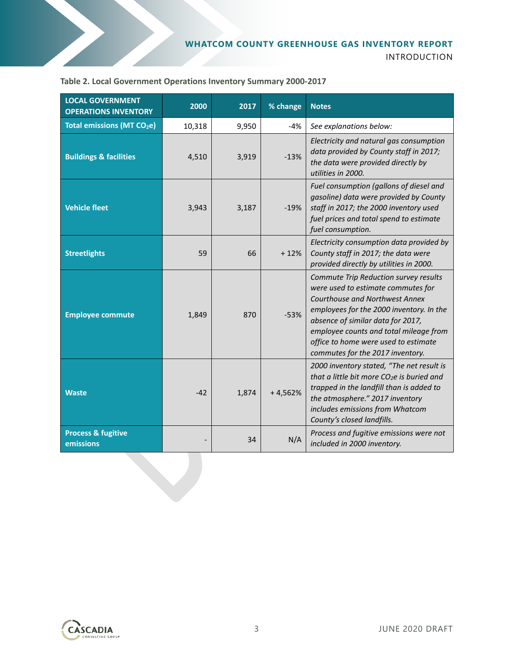| <b>LOCAL GOVERNMENT</b><br><b>OPERATIONS INVENTORY</b> | 2000   | 2017  | % change<br><b>Notes</b>                                                                                                                                                                              |                                                                                                                                                                                                                                                                                                                             |
|--------------------------------------------------------|--------|-------|-------------------------------------------------------------------------------------------------------------------------------------------------------------------------------------------------------|-----------------------------------------------------------------------------------------------------------------------------------------------------------------------------------------------------------------------------------------------------------------------------------------------------------------------------|
| <b>Total emissions (MT CO<sub>2</sub>e)</b>            | 10,318 | 9,950 | $-4%$                                                                                                                                                                                                 | See explanations below:                                                                                                                                                                                                                                                                                                     |
| <b>Buildings &amp; facilities</b>                      | 4,510  | 3,919 | $-13%$                                                                                                                                                                                                | Electricity and natural gas consumption<br>data provided by County staff in 2017;<br>the data were provided directly by<br>utilities in 2000.                                                                                                                                                                               |
| <b>Vehicle fleet</b>                                   | 3,943  | 3,187 | Fuel consumption (gallons of diesel and<br>gasoline) data were provided by County<br>staff in 2017; the 2000 inventory used<br>$-19%$<br>fuel prices and total spend to estimate<br>fuel consumption. |                                                                                                                                                                                                                                                                                                                             |
| <b>Streetlights</b>                                    | 59     | 66    | $+12%$                                                                                                                                                                                                | Electricity consumption data provided by<br>County staff in 2017; the data were<br>provided directly by utilities in 2000.                                                                                                                                                                                                  |
| <b>Employee commute</b>                                | 1,849  | 870   | $-53%$                                                                                                                                                                                                | Commute Trip Reduction survey results<br>were used to estimate commutes for<br><b>Courthouse and Northwest Annex</b><br>employees for the 2000 inventory. In the<br>absence of similar data for 2017,<br>employee counts and total mileage from<br>office to home were used to estimate<br>commutes for the 2017 inventory. |
| <b>Waste</b>                                           | $-42$  | 1,874 | $+4,562%$                                                                                                                                                                                             | 2000 inventory stated, "The net result is<br>that a little bit more $CO2e$ is buried and<br>trapped in the landfill than is added to<br>the atmosphere." 2017 inventory<br>includes emissions from Whatcom<br>County's closed landfills.                                                                                    |
| <b>Process &amp; fugitive</b><br>emissions             |        | 34    | N/A                                                                                                                                                                                                   | Process and fugitive emissions were not<br>included in 2000 inventory.                                                                                                                                                                                                                                                      |

**Table 2. Local Government Operations Inventory Summary 2000-2017**

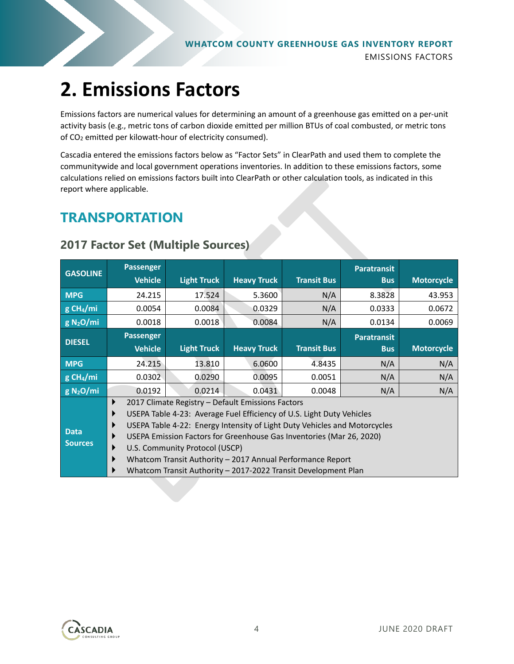## **2. Emissions Factors**

Emissions factors are numerical values for determining an amount of a greenhouse gas emitted on a per-unit activity basis (e.g., metric tons of carbon dioxide emitted per million BTUs of coal combusted, or metric tons of CO<sub>2</sub> emitted per kilowatt-hour of electricity consumed).

Cascadia entered the emissions factors below as "Factor Sets" in ClearPath and used them to complete the communitywide and local government operations inventories. In addition to these emissions factors, some calculations relied on emissions factors built into ClearPath or other calculation tools, as indicated in this report where applicable.

### **TRANSPORTATION**

| <b>GASOLINE</b>         |   | <b>Passenger</b>                                                          |                                |                                                                |                    | <b>Paratransit</b> |                   |  |
|-------------------------|---|---------------------------------------------------------------------------|--------------------------------|----------------------------------------------------------------|--------------------|--------------------|-------------------|--|
|                         |   | <b>Vehicle</b>                                                            | <b>Light Truck</b>             | <b>Heavy Truck</b>                                             | <b>Transit Bus</b> | <b>Bus</b>         | <b>Motorcycle</b> |  |
| <b>MPG</b>              |   | 24.215                                                                    | 17.524                         | 5.3600                                                         | N/A                | 8.3828             | 43.953            |  |
| $g$ CH <sub>4</sub> /mi |   | 0.0054                                                                    | 0.0084                         | 0.0329                                                         | N/A                | 0.0333             | 0.0672            |  |
| g N <sub>2</sub> O/mi   |   | 0.0018                                                                    | 0.0018                         | 0.0084                                                         | N/A                | 0.0134             | 0.0069            |  |
| <b>DIESEL</b>           |   | <b>Passenger</b>                                                          |                                |                                                                |                    | <b>Paratransit</b> |                   |  |
|                         |   | <b>Vehicle</b>                                                            | <b>Light Truck</b>             | <b>Heavy Truck</b>                                             | <b>Transit Bus</b> | <b>Bus</b>         | <b>Motorcycle</b> |  |
| <b>MPG</b>              |   | 24.215                                                                    | 13.810                         | 6.0600                                                         | 4.8435             | N/A                | N/A               |  |
| $g$ CH <sub>4</sub> /mi |   | 0.0302                                                                    | 0.0290                         | 0.0095                                                         | 0.0051             | N/A                | N/A               |  |
| g N <sub>2</sub> O/mi   |   | 0.0192                                                                    | 0.0214                         | 0.0431                                                         | 0.0048             | N/A                | N/A               |  |
|                         | ▶ | 2017 Climate Registry - Default Emissions Factors                         |                                |                                                                |                    |                    |                   |  |
|                         | ▶ | USEPA Table 4-23: Average Fuel Efficiency of U.S. Light Duty Vehicles     |                                |                                                                |                    |                    |                   |  |
|                         | ▶ | USEPA Table 4-22: Energy Intensity of Light Duty Vehicles and Motorcycles |                                |                                                                |                    |                    |                   |  |
| <b>Data</b>             | ▶ | USEPA Emission Factors for Greenhouse Gas Inventories (Mar 26, 2020)      |                                |                                                                |                    |                    |                   |  |
| <b>Sources</b>          | ▶ |                                                                           | U.S. Community Protocol (USCP) |                                                                |                    |                    |                   |  |
|                         |   |                                                                           |                                | Whatcom Transit Authority - 2017 Annual Performance Report     |                    |                    |                   |  |
|                         |   |                                                                           |                                | Whatcom Transit Authority - 2017-2022 Transit Development Plan |                    |                    |                   |  |

#### **2017 Factor Set (Multiple Sources)**

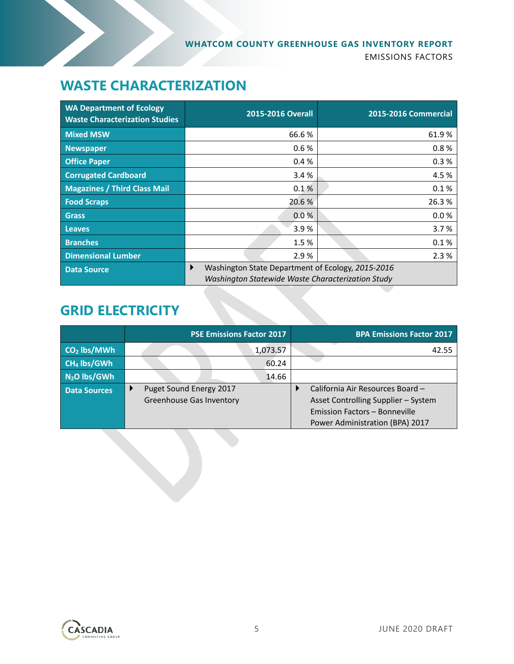### **WASTE CHARACTERIZATION**

| <b>WA Department of Ecology</b><br><b>Waste Characterization Studies</b> | 2015-2016 Overall                                                                                           | <b>2015-2016 Commercial</b> |  |
|--------------------------------------------------------------------------|-------------------------------------------------------------------------------------------------------------|-----------------------------|--|
| <b>Mixed MSW</b>                                                         | 66.6%                                                                                                       | 61.9%                       |  |
| <b>Newspaper</b>                                                         | 0.6%                                                                                                        | 0.8%                        |  |
| <b>Office Paper</b>                                                      | 0.4%                                                                                                        | 0.3%                        |  |
| <b>Corrugated Cardboard</b>                                              | 3.4%                                                                                                        | 4.5 %                       |  |
| <b>Magazines / Third Class Mail</b>                                      | 0.1%                                                                                                        | 0.1%                        |  |
| <b>Food Scraps</b>                                                       | 20.6%                                                                                                       | 26.3%                       |  |
| <b>Grass</b>                                                             | 0.0%                                                                                                        | 0.0%                        |  |
| <b>Leaves</b>                                                            | 3.9%                                                                                                        | 3.7%                        |  |
| <b>Branches</b>                                                          | 1.5%                                                                                                        | 0.1%                        |  |
| <b>Dimensional Lumber</b>                                                | 2.9%                                                                                                        | 2.3%                        |  |
| <b>Data Source</b>                                                       | Washington State Department of Ecology, 2015-2016<br>▶<br>Washington Statewide Waste Characterization Study |                             |  |

### **GRID ELECTRICITY**

|                         | <b>PSE Emissions Factor 2017</b>                           | <b>BPA Emissions Factor 2017</b>                                                                                                            |
|-------------------------|------------------------------------------------------------|---------------------------------------------------------------------------------------------------------------------------------------------|
| $CO2$ lbs/MWh           | 1,073.57                                                   | 42.55                                                                                                                                       |
| CH <sub>4</sub> lbs/GWh | 60.24                                                      |                                                                                                                                             |
| $N2O$ lbs/GWh           | 14.66                                                      |                                                                                                                                             |
| <b>Data Sources</b>     | Puget Sound Energy 2017<br><b>Greenhouse Gas Inventory</b> | California Air Resources Board -<br>Asset Controlling Supplier - System<br>Emission Factors - Bonneville<br>Power Administration (BPA) 2017 |

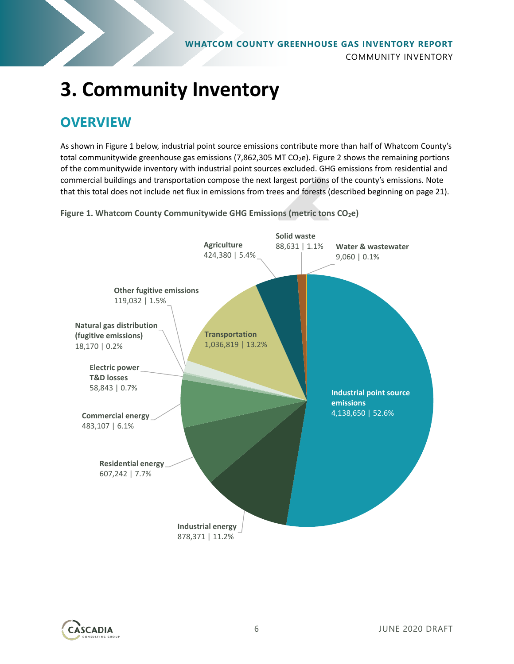

# **3. Community Inventory**

### **OVERVIEW**

As shown i[n Figure 1](#page-5-0) below, industrial point source emissions contribute more than half of Whatcom County's total communitywide greenhouse gas emissions (7,862,305 MT CO<sub>2</sub>e). Figure 2 shows the remaining portions of the communitywide inventory with industrial point sources excluded. GHG emissions from residential and commercial buildings and transportation compose the next largest portions of the county's emissions. Note that this total does not include net flux in emissions from trees and forests (described beginning on page [21\)](#page-20-0).

<span id="page-5-0"></span>**Figure 1. Whatcom County Communitywide GHG Emissions (metric tons CO<sub>2</sub>e)** 



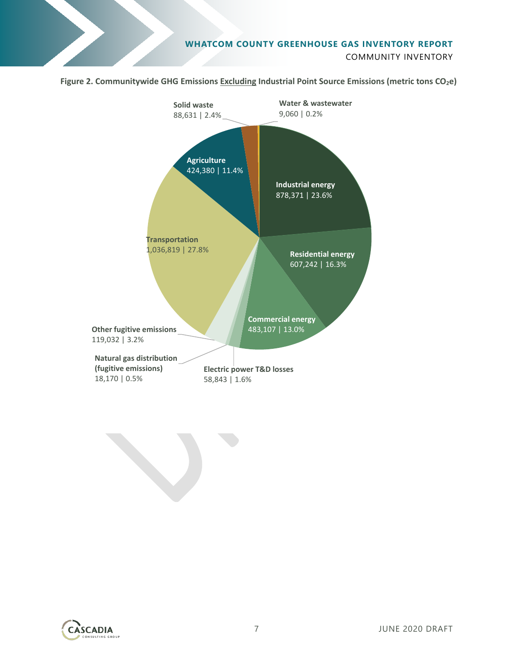

Figure 2. Communitywide GHG Emissions Excluding Industrial Point Source Emissions (metric tons CO<sub>2</sub>e)





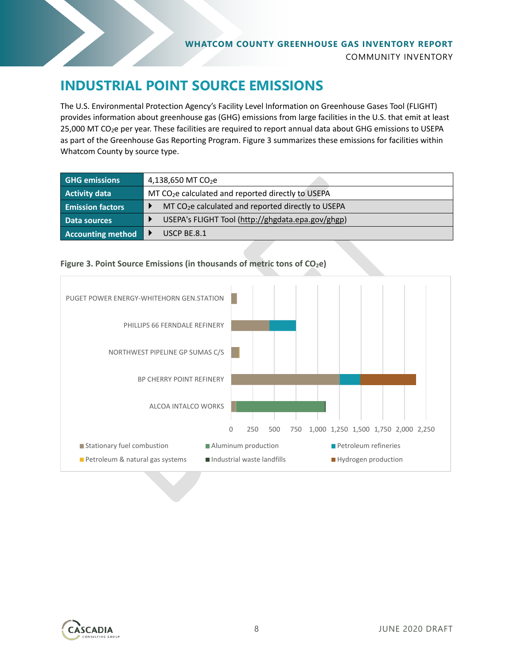### **INDUSTRIAL POINT SOURCE EMISSIONS**

The U.S. Environmental Protection Agency's Facility Level Information on Greenhouse Gases Tool (FLIGHT) provides information about greenhouse gas (GHG) emissions from large facilities in the U.S. that emit at least 25,000 MT CO<sub>2</sub>e per year. These facilities are required to report annual data about GHG emissions to USEPA as part of the Greenhouse Gas Reporting Program. [Figure 3](#page-7-0) summarizes these emissions for facilities within Whatcom County by source type.

| <b>GHG emissions</b>     | 4,138,650 MT $CO2e$                                            |
|--------------------------|----------------------------------------------------------------|
| <b>Activity data</b>     | MT CO <sub>2</sub> e calculated and reported directly to USEPA |
| <b>Emission factors</b>  | MT CO <sub>2</sub> e calculated and reported directly to USEPA |
| Data sources             | USEPA's FLIGHT Tool (http://ghgdata.epa.gov/ghgp)              |
| <b>Accounting method</b> | USCP BE.8.1                                                    |

<span id="page-7-0"></span>



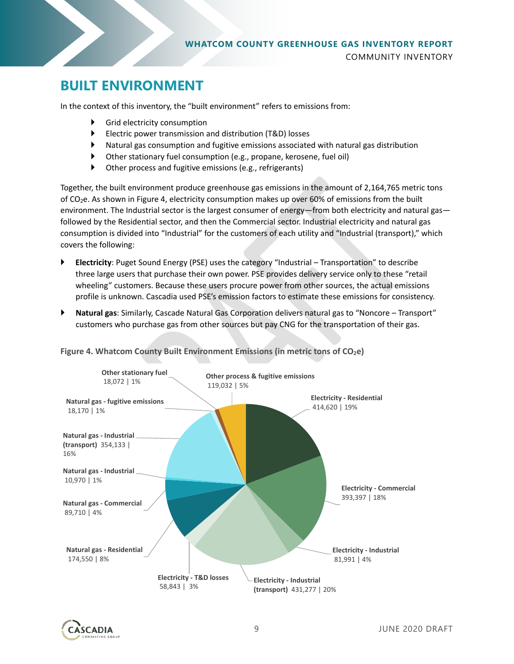

### **BUILT ENVIRONMENT**

In the context of this inventory, the "built environment" refers to emissions from:

- Grid electricity consumption
- Electric power transmission and distribution (T&D) losses
- Natural gas consumption and fugitive emissions associated with natural gas distribution
- Other stationary fuel consumption (e.g., propane, kerosene, fuel oil)
- Other process and fugitive emissions (e.g., refrigerants)

Together, the built environment produce greenhouse gas emissions in the amount of 2,164,765 metric tons of  $CO<sub>2</sub>e$ . As shown i[n Figure 4,](#page-8-0) electricity consumption makes up over 60% of emissions from the built environment. The Industrial sector is the largest consumer of energy—from both electricity and natural gas followed by the Residential sector, and then the Commercial sector. Industrial electricity and natural gas consumption is divided into "Industrial" for the customers of each utility and "Industrial (transport)," which covers the following:

- **Electricity**: Puget Sound Energy (PSE) uses the category "Industrial Transportation" to describe three large users that purchase their own power. PSE provides delivery service only to these "retail wheeling" customers. Because these users procure power from other sources, the actual emissions profile is unknown. Cascadia used PSE's emission factors to estimate these emissions for consistency.
- **Natural gas**: Similarly, Cascade Natural Gas Corporation delivers natural gas to "Noncore Transport" customers who purchase gas from other sources but pay CNG for the transportation of their gas.



<span id="page-8-0"></span>**Figure 4. Whatcom County Built Environment Emissions (in metric tons of CO<sub>2</sub>e)** 

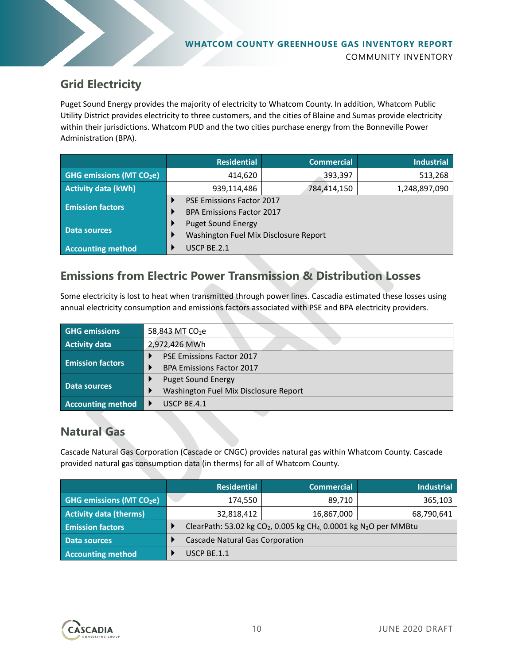

### **Grid Electricity**

Puget Sound Energy provides the majority of electricity to Whatcom County. In addition, Whatcom Public Utility District provides electricity to three customers, and the cities of Blaine and Sumas provide electricity within their jurisdictions. Whatcom PUD and the two cities purchase energy from the Bonneville Power Administration (BPA).

|                                      | <b>Residential</b>                    | <b>Commercial</b> | <b>Industrial</b> |  |
|--------------------------------------|---------------------------------------|-------------------|-------------------|--|
| GHG emissions (MT CO <sub>2</sub> e) | 414,620                               | 393,397           | 513,268           |  |
| <b>Activity data (kWh)</b>           | 939,114,486                           | 784,414,150       | 1,248,897,090     |  |
|                                      | PSE Emissions Factor 2017             |                   |                   |  |
| <b>Emission factors</b>              | <b>BPA Emissions Factor 2017</b>      |                   |                   |  |
|                                      | <b>Puget Sound Energy</b>             |                   |                   |  |
| Data sources                         | Washington Fuel Mix Disclosure Report |                   |                   |  |
| <b>Accounting method</b>             | USCP BE.2.1                           |                   |                   |  |

### **Emissions from Electric Power Transmission & Distribution Losses**

Some electricity is lost to heat when transmitted through power lines. Cascadia estimated these losses using annual electricity consumption and emissions factors associated with PSE and BPA electricity providers.

| <b>GHG emissions</b>     | 58,843 MT CO <sub>2</sub> e           |  |
|--------------------------|---------------------------------------|--|
| Activity data            | 2,972,426 MWh                         |  |
| <b>Emission factors</b>  | <b>PSE Emissions Factor 2017</b>      |  |
|                          | <b>BPA Emissions Factor 2017</b>      |  |
|                          | <b>Puget Sound Energy</b>             |  |
| Data sources             | Washington Fuel Mix Disclosure Report |  |
| <b>Accounting method</b> | USCP BE.4.1                           |  |

#### **Natural Gas**

Cascade Natural Gas Corporation (Cascade or CNGC) provides natural gas within Whatcom County. Cascade provided natural gas consumption data (in therms) for all of Whatcom County.

|                                           | <b>Residential</b>                                                                                    | <b>Commercial</b> | <b>Industrial</b> |
|-------------------------------------------|-------------------------------------------------------------------------------------------------------|-------------------|-------------------|
| <b>GHG emissions (MT CO<sub>2</sub>e)</b> | 174,550                                                                                               | 89,710            | 365,103           |
| <b>Activity data (therms)</b>             | 32,818,412                                                                                            | 16,867,000        | 68,790,641        |
| <b>Emission factors</b>                   | ClearPath: 53.02 kg CO <sub>2</sub> , 0.005 kg CH <sub>4</sub> , 0.0001 kg N <sub>2</sub> O per MMBtu |                   |                   |
| Data sources                              | Cascade Natural Gas Corporation                                                                       |                   |                   |
| <b>Accounting method</b>                  | USCP BE.1.1                                                                                           |                   |                   |

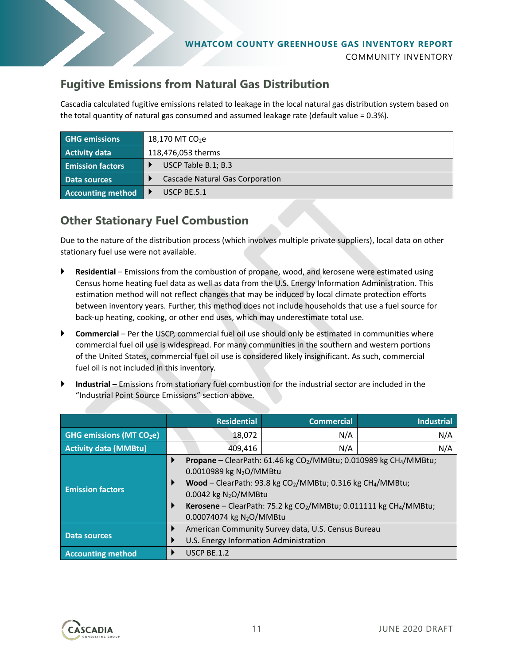

### **Fugitive Emissions from Natural Gas Distribution**

Cascadia calculated fugitive emissions related to leakage in the local natural gas distribution system based on the total quantity of natural gas consumed and assumed leakage rate (default value = 0.3%).

| <b>GHG emissions</b>     | 18,170 MT CO <sub>2</sub> e     |  |  |
|--------------------------|---------------------------------|--|--|
| <b>Activity data</b>     | 118,476,053 therms              |  |  |
| <b>Emission factors</b>  | USCP Table B.1; B.3             |  |  |
| Data sources             | Cascade Natural Gas Corporation |  |  |
| <b>Accounting method</b> | USCP BE.5.1                     |  |  |

### **Other Stationary Fuel Combustion**

Due to the nature of the distribution process (which involves multiple private suppliers), local data on other stationary fuel use were not available.

- **Residential** Emissions from the combustion of propane, wood, and kerosene were estimated using Census home heating fuel data as well as data from the U.S. Energy Information Administration. This estimation method will not reflect changes that may be induced by local climate protection efforts between inventory years. Further, this method does not include households that use a fuel source for back-up heating, cooking, or other end uses, which may underestimate total use.
- **Commercial** Per the USCP, commercial fuel oil use should only be estimated in communities where commercial fuel oil use is widespread. For many communities in the southern and western portions of the United States, commercial fuel oil use is considered likely insignificant. As such, commercial fuel oil is not included in this inventory.
- **Industrial** Emissions from stationary fuel combustion for the industrial sector are included in the "Industrial Point Source Emissions" section above.

|                                           |             | <b>Residential</b>                                                                                                | <b>Commercial</b>                                                                                                                                                                                                                                                         | <b>Industrial</b> |
|-------------------------------------------|-------------|-------------------------------------------------------------------------------------------------------------------|---------------------------------------------------------------------------------------------------------------------------------------------------------------------------------------------------------------------------------------------------------------------------|-------------------|
| <b>GHG emissions (MT CO<sub>2</sub>e)</b> |             | 18,072                                                                                                            | N/A                                                                                                                                                                                                                                                                       | N/A               |
| <b>Activity data (MMBtu)</b>              |             | 409,416                                                                                                           | N/A                                                                                                                                                                                                                                                                       | N/A               |
| <b>Emission factors</b>                   | ▶<br>▶<br>▶ | 0.0010989 kg N <sub>2</sub> O/MMBtu<br>$0.0042$ kg N <sub>2</sub> O/MMBtu<br>0.00074074 kg N <sub>2</sub> O/MMBtu | <b>Propane</b> – ClearPath: 61.46 kg CO <sub>2</sub> /MMBtu; 0.010989 kg CH <sub>4</sub> /MMBtu;<br>Wood - ClearPath: 93.8 kg $CO2/MMBtu$ ; 0.316 kg CH <sub>4</sub> /MMBtu;<br>Kerosene – ClearPath: 75.2 kg CO <sub>2</sub> /MMBtu; 0.011111 kg CH <sub>4</sub> /MMBtu; |                   |
| <b>Data sources</b>                       | ▶<br>▶      | American Community Survey data, U.S. Census Bureau<br>U.S. Energy Information Administration                      |                                                                                                                                                                                                                                                                           |                   |
| <b>Accounting method</b>                  |             | USCP BE.1.2                                                                                                       |                                                                                                                                                                                                                                                                           |                   |

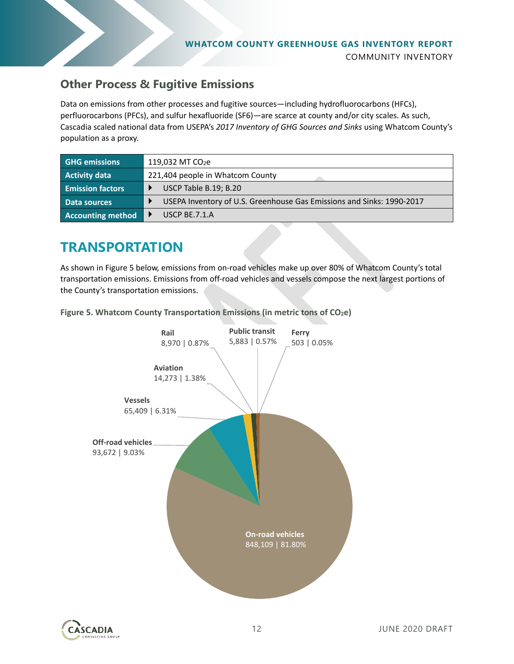

#### **Other Process & Fugitive Emissions**

Data on emissions from other processes and fugitive sources—including hydrofluorocarbons (HFCs), perfluorocarbons (PFCs), and sulfur hexafluoride (SF6)—are scarce at county and/or city scales. As such, Cascadia scaled national data from USEPA's *2017 Inventory of GHG Sources and Sinks* using Whatcom County's population as a proxy.

| <b>GHG emissions</b>     | 119,032 MT $CO2e$                                                     |  |  |
|--------------------------|-----------------------------------------------------------------------|--|--|
| <b>Activity data</b>     | 221,404 people in Whatcom County                                      |  |  |
| <b>Emission factors</b>  | USCP Table B.19; B.20                                                 |  |  |
| Data sources             | USEPA Inventory of U.S. Greenhouse Gas Emissions and Sinks: 1990-2017 |  |  |
| <b>Accounting method</b> | USCP BE.7.1. $A$                                                      |  |  |

### **TRANSPORTATION**

As shown i[n Figure 5](#page-11-0) below, emissions from on-road vehicles make up over 80% of Whatcom County's total transportation emissions. Emissions from off-road vehicles and vessels compose the next largest portions of the County's transportation emissions.

<span id="page-11-0"></span>**Figure 5. Whatcom County Transportation Emissions (in metric tons of CO2e)**

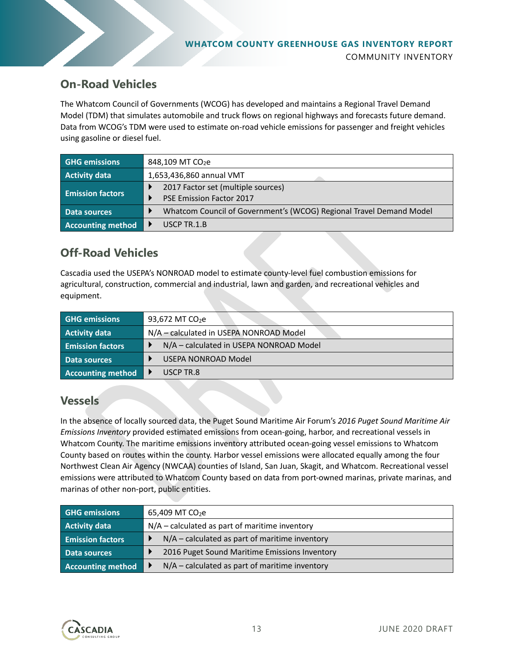

#### **On-Road Vehicles**

The Whatcom Council of Governments (WCOG) has developed and maintains a Regional Travel Demand Model (TDM) that simulates automobile and truck flows on regional highways and forecasts future demand. Data from WCOG's TDM were used to estimate on-road vehicle emissions for passenger and freight vehicles using gasoline or diesel fuel.

| <b>GHG emissions</b>     | 848,109 MT CO <sub>2</sub> e                                        |
|--------------------------|---------------------------------------------------------------------|
| <b>Activity data</b>     | 1,653,436,860 annual VMT                                            |
| <b>Emission factors</b>  | 2017 Factor set (multiple sources)                                  |
|                          | <b>PSE Emission Factor 2017</b>                                     |
| Data sources             | Whatcom Council of Government's (WCOG) Regional Travel Demand Model |
| <b>Accounting method</b> | USCP TR.1.B                                                         |

### **Off-Road Vehicles**

Cascadia used the USEPA's NONROAD model to estimate county-level fuel combustion emissions for agricultural, construction, commercial and industrial, lawn and garden, and recreational vehicles and equipment.

| <b>GHG emissions</b>    | 93,672 MT CO <sub>2</sub> e             |
|-------------------------|-----------------------------------------|
| <b>Activity data</b>    | N/A – calculated in USEPA NONROAD Model |
| <b>Emission factors</b> | N/A – calculated in USEPA NONROAD Model |
| Data sources            | USEPA NONROAD Model                     |
| Accounting method       | USCP TR.8                               |

#### **Vessels**

In the absence of locally sourced data, the Puget Sound Maritime Air Forum's *2016 Puget Sound Maritime Air Emissions Inventory* provided estimated emissions from ocean-going, harbor, and recreational vessels in Whatcom County. The maritime emissions inventory attributed ocean-going vessel emissions to Whatcom County based on routes within the county. Harbor vessel emissions were allocated equally among the four Northwest Clean Air Agency (NWCAA) counties of Island, San Juan, Skagit, and Whatcom. Recreational vessel emissions were attributed to Whatcom County based on data from port-owned marinas, private marinas, and marinas of other non-port, public entities.

| <b>GHG emissions</b>     | $65,409$ MT CO <sub>2</sub> e                    |
|--------------------------|--------------------------------------------------|
| <b>Activity data</b>     | $N/A$ – calculated as part of maritime inventory |
| <b>Emission factors</b>  | $N/A$ – calculated as part of maritime inventory |
| Data sources             | 2016 Puget Sound Maritime Emissions Inventory    |
| <b>Accounting method</b> | $N/A$ – calculated as part of maritime inventory |

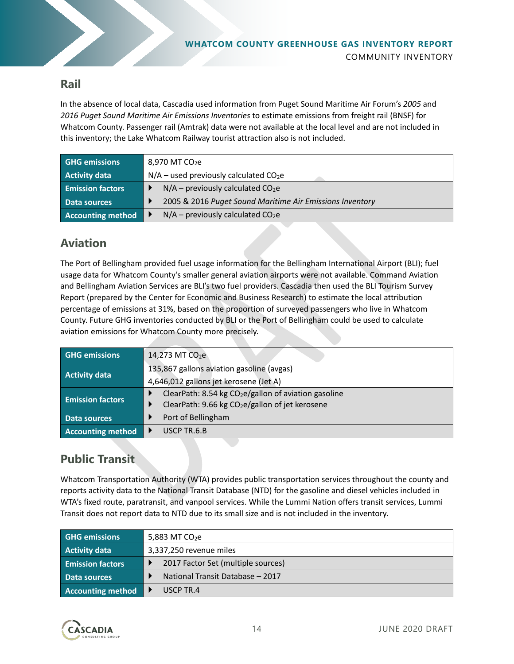

### **Rail**

In the absence of local data, Cascadia used information from Puget Sound Maritime Air Forum's *2005* and *2016 Puget Sound Maritime Air Emissions Inventories* to estimate emissions from freight rail (BNSF) for Whatcom County. Passenger rail (Amtrak) data were not available at the local level and are not included in this inventory; the Lake Whatcom Railway tourist attraction also is not included.

| <b>GHG emissions</b>     | 8,970 MT $CO2e$                                          |
|--------------------------|----------------------------------------------------------|
| Activity data            | $N/A$ – used previously calculated CO <sub>2</sub> e     |
| <b>Emission factors</b>  | $N/A$ – previously calculated CO <sub>2</sub> e          |
| Data sources             | 2005 & 2016 Puget Sound Maritime Air Emissions Inventory |
| <b>Accounting method</b> | $N/A$ – previously calculated CO <sub>2</sub> e          |

### **Aviation**

The Port of Bellingham provided fuel usage information for the Bellingham International Airport (BLI); fuel usage data for Whatcom County's smaller general aviation airports were not available. Command Aviation and Bellingham Aviation Services are BLI's two fuel providers. Cascadia then used the BLI Tourism Survey Report (prepared by the Center for Economic and Business Research) to estimate the local attribution percentage of emissions at 31%, based on the proportion of surveyed passengers who live in Whatcom County. Future GHG inventories conducted by BLI or the Port of Bellingham could be used to calculate aviation emissions for Whatcom County more precisely.

| <b>GHG emissions</b>     | 14,273 MT CO <sub>2</sub> e                                 |
|--------------------------|-------------------------------------------------------------|
| <b>Activity data</b>     | 135,867 gallons aviation gasoline (avgas)                   |
|                          | 4,646,012 gallons jet kerosene (Jet A)                      |
| <b>Emission factors</b>  | ClearPath: 8.54 kg $CO2e/gallon$ of aviation gasoline       |
|                          | ClearPath: 9.66 kg CO <sub>2</sub> e/gallon of jet kerosene |
| Data sources             | Port of Bellingham                                          |
| <b>Accounting method</b> | USCP TR.6.B                                                 |

### **Public Transit**

Whatcom Transportation Authority (WTA) provides public transportation services throughout the county and reports activity data to the National Transit Database (NTD) for the gasoline and diesel vehicles included in WTA's fixed route, paratransit, and vanpool services. While the Lummi Nation offers transit services, Lummi Transit does not report data to NTD due to its small size and is not included in the inventory.

| <b>GHG emissions</b>     | 5,883 MT $CO2e$                    |
|--------------------------|------------------------------------|
| <b>Activity data</b>     | 3,337,250 revenue miles            |
| <b>Emission factors</b>  | 2017 Factor Set (multiple sources) |
| Data sources             | National Transit Database - 2017   |
| <b>Accounting method</b> | USCP TR.4                          |

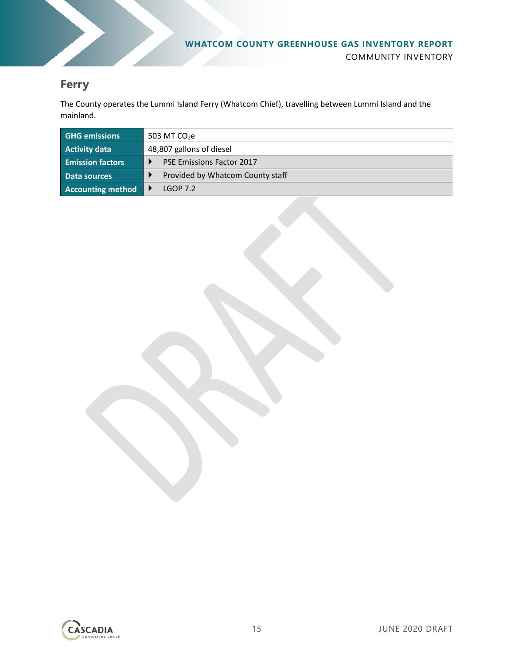

#### **Ferry**

The County operates the Lummi Island Ferry (Whatcom Chief), travelling between Lummi Island and the mainland.

| <b>GHG emissions</b>     | 503 MT $CO2e$                    |
|--------------------------|----------------------------------|
| <b>Activity data</b>     | 48,807 gallons of diesel         |
| <b>Emission factors</b>  | <b>PSE Emissions Factor 2017</b> |
| Data sources             | Provided by Whatcom County staff |
| <b>Accounting method</b> | IGOP7.2                          |

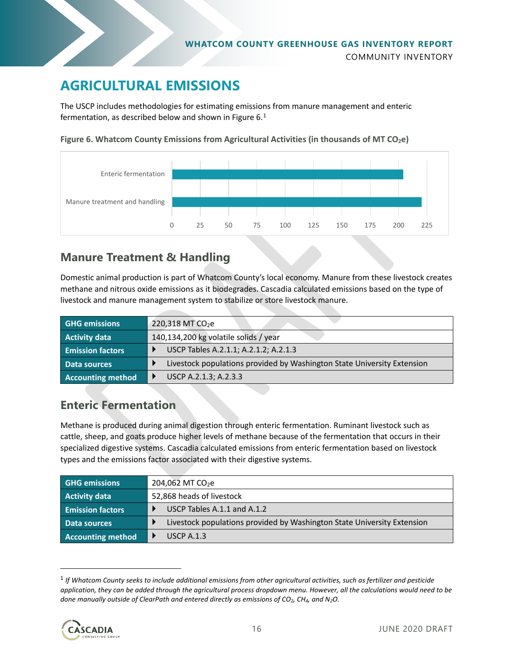

### **AGRICULTURAL EMISSIONS**

The USCP includes methodologies for estimating emissions from manure management and enteric fermentation, as described below and shown in [Figure 6.](#page-15-0)<sup>[1](#page-15-1)</sup>

<span id="page-15-0"></span>



### **Manure Treatment & Handling**

Domestic animal production is part of Whatcom County's local economy. Manure from these livestock creates methane and nitrous oxide emissions as it biodegrades. Cascadia calculated emissions based on the type of livestock and manure management system to stabilize or store livestock manure.

| <b>GHG emissions</b>     | $220,318$ MT CO <sub>2</sub> e                                          |
|--------------------------|-------------------------------------------------------------------------|
| <b>Activity data</b>     | 140,134,200 kg volatile solids / year                                   |
| <b>Emission factors</b>  | USCP Tables A.2.1.1; A.2.1.2; A.2.1.3                                   |
| Data sources             | Livestock populations provided by Washington State University Extension |
| <b>Accounting method</b> | USCP A.2.1.3; A.2.3.3                                                   |

#### **Enteric Fermentation**

Methane is produced during animal digestion through enteric fermentation. Ruminant livestock such as cattle, sheep, and goats produce higher levels of methane because of the fermentation that occurs in their specialized digestive systems. Cascadia calculated emissions from enteric fermentation based on livestock types and the emissions factor associated with their digestive systems.

| <b>GHG emissions</b>     | 204,062 MT CO <sub>2</sub> e                                            |
|--------------------------|-------------------------------------------------------------------------|
| <b>Activity data</b>     | 52,868 heads of livestock                                               |
| <b>Emission factors</b>  | USCP Tables A.1.1 and A.1.2                                             |
| Data sources             | Livestock populations provided by Washington State University Extension |
| <b>Accounting method</b> | USCP $A.1.3$                                                            |

<span id="page-15-1"></span><sup>1</sup> *If Whatcom County seeks to include additional emissions from other agricultural activities, such as fertilizer and pesticide application, they can be added through the agricultural process dropdown menu. However, all the calculations would need to be done manually outside of ClearPath and entered directly as emissions of CO2, CH4, and N2O.*

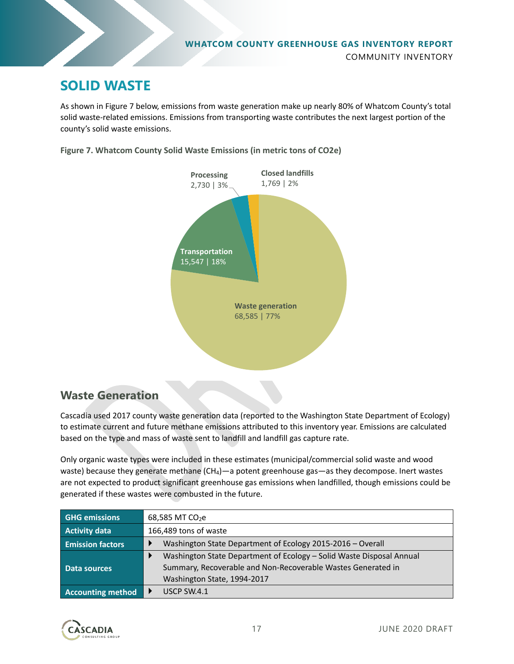

### **SOLID WASTE**

As shown i[n Figure 7](#page-16-0) below, emissions from waste generation make up nearly 80% of Whatcom County's total solid waste-related emissions. Emissions from transporting waste contributes the next largest portion of the county's solid waste emissions.

<span id="page-16-0"></span>**Figure 7. Whatcom County Solid Waste Emissions (in metric tons of CO2e)**



### **Waste Generation**

Cascadia used 2017 county waste generation data (reported to the Washington State Department of Ecology) to estimate current and future methane emissions attributed to this inventory year. Emissions are calculated based on the type and mass of waste sent to landfill and landfill gas capture rate.

Only organic waste types were included in these estimates (municipal/commercial solid waste and wood waste) because they generate methane (CH<sub>4</sub>)—a potent greenhouse gas—as they decompose. Inert wastes are not expected to product significant greenhouse gas emissions when landfilled, though emissions could be generated if these wastes were combusted in the future.

| <b>GHG emissions</b>     | 68,585 MT CO <sub>2</sub> e                                                                 |
|--------------------------|---------------------------------------------------------------------------------------------|
| <b>Activity data</b>     | 166,489 tons of waste                                                                       |
| <b>Emission factors</b>  | Washington State Department of Ecology 2015-2016 - Overall                                  |
|                          | Washington State Department of Ecology - Solid Waste Disposal Annual                        |
| Data sources             | Summary, Recoverable and Non-Recoverable Wastes Generated in<br>Washington State, 1994-2017 |
| <b>Accounting method</b> | USCP SW.4.1                                                                                 |

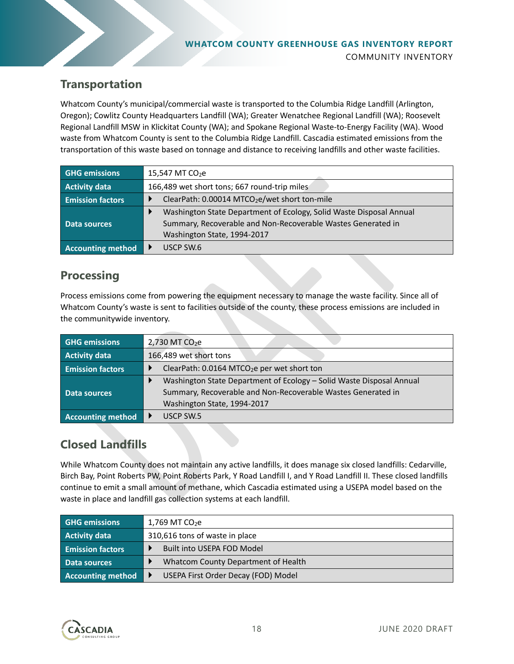#### **WHATCOM COUNTY GREENHOUSE GAS INVENTORY REPORT** COMMUNITY INVENTORY

### **Transportation**

Whatcom County's municipal/commercial waste is transported to the Columbia Ridge Landfill (Arlington, Oregon); Cowlitz County Headquarters Landfill (WA); Greater Wenatchee Regional Landfill (WA); Roosevelt Regional Landfill MSW in Klickitat County (WA); and Spokane Regional Waste-to-Energy Facility (WA). Wood waste from Whatcom County is sent to the Columbia Ridge Landfill. Cascadia estimated emissions from the transportation of this waste based on tonnage and distance to receiving landfills and other waste facilities.

| <b>GHG</b> emissions     | 15,547 MT $CO2e$                                                    |
|--------------------------|---------------------------------------------------------------------|
| <b>Activity data</b>     | 166,489 wet short tons; 667 round-trip miles                        |
| <b>Emission factors</b>  | ClearPath: 0.00014 MTCO <sub>2</sub> e/wet short ton-mile           |
|                          | Washington State Department of Ecology, Solid Waste Disposal Annual |
| Data sources             | Summary, Recoverable and Non-Recoverable Wastes Generated in        |
|                          | Washington State, 1994-2017                                         |
| <b>Accounting method</b> | USCP SW.6                                                           |

#### **Processing**

Process emissions come from powering the equipment necessary to manage the waste facility. Since all of Whatcom County's waste is sent to facilities outside of the county, these process emissions are included in the communitywide inventory.

| <b>GHG emissions</b>     | 2,730 MT CO <sub>2</sub> e                                           |
|--------------------------|----------------------------------------------------------------------|
| Activity data            | 166,489 wet short tons                                               |
| <b>Emission factors</b>  | ClearPath: 0.0164 MTCO <sub>2</sub> e per wet short ton              |
|                          | Washington State Department of Ecology - Solid Waste Disposal Annual |
| Data sources             | Summary, Recoverable and Non-Recoverable Wastes Generated in         |
|                          | Washington State, 1994-2017                                          |
| <b>Accounting method</b> | USCP SW.5                                                            |

### **Closed Landfills**

While Whatcom County does not maintain any active landfills, it does manage six closed landfills: Cedarville, Birch Bay, Point Roberts PW, Point Roberts Park, Y Road Landfill I, and Y Road Landfill II. These closed landfills continue to emit a small amount of methane, which Cascadia estimated using a USEPA model based on the waste in place and landfill gas collection systems at each landfill.

| <b>GHG emissions</b>     | 1,769 MT $CO2e$                     |
|--------------------------|-------------------------------------|
| Activity data            | 310,616 tons of waste in place      |
| <b>Emission factors</b>  | Built into USEPA FOD Model          |
| Data sources             | Whatcom County Department of Health |
| <b>Accounting method</b> | USEPA First Order Decay (FOD) Model |

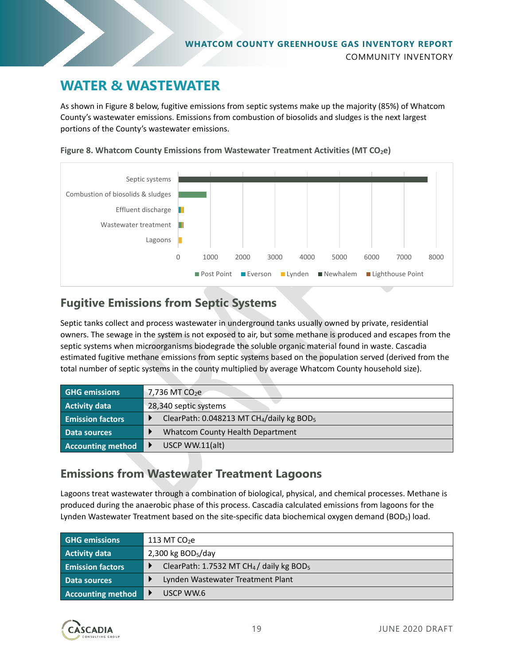

### **WATER & WASTEWATER**

As shown i[n Figure 8](#page-18-0) below, fugitive emissions from septic systems make up the majority (85%) of Whatcom County's wastewater emissions. Emissions from combustion of biosolids and sludges is the next largest portions of the County's wastewater emissions.



<span id="page-18-0"></span>**Figure 8. Whatcom County Emissions from Wastewater Treatment Activities (MT CO<sub>2</sub>e)** 

### **Fugitive Emissions from Septic Systems**

Septic tanks collect and process wastewater in underground tanks usually owned by private, residential owners. The sewage in the system is not exposed to air, but some methane is produced and escapes from the septic systems when microorganisms biodegrade the soluble organic material found in waste. Cascadia estimated fugitive methane emissions from septic systems based on the population served (derived from the total number of septic systems in the county multiplied by average Whatcom County household size).

| <b>GHG emissions</b>     | 7,736 MT CO <sub>2</sub> e                                        |
|--------------------------|-------------------------------------------------------------------|
| <b>Activity data</b>     | 28,340 septic systems                                             |
| <b>Emission factors</b>  | ClearPath: 0.048213 MT CH <sub>4</sub> /daily kg BOD <sub>5</sub> |
| Data sources             | Whatcom County Health Department                                  |
| <b>Accounting method</b> | USCP WW.11(alt)                                                   |

#### **Emissions from Wastewater Treatment Lagoons**

Lagoons treat wastewater through a combination of biological, physical, and chemical processes. Methane is produced during the anaerobic phase of this process. Cascadia calculated emissions from lagoons for the Lynden Wastewater Treatment based on the site-specific data biochemical oxygen demand (BOD<sub>5</sub>) load.

| <b>GHG emissions</b>    | 113 MT $CO2e$                                                    |
|-------------------------|------------------------------------------------------------------|
| <b>Activity data</b>    | 2,300 kg $BOD5/day$                                              |
| <b>Emission factors</b> | ClearPath: 1.7532 MT CH <sub>4</sub> / daily kg BOD <sub>5</sub> |
| Data sources            | Lynden Wastewater Treatment Plant                                |
| Accounting method       | USCP WW.6                                                        |

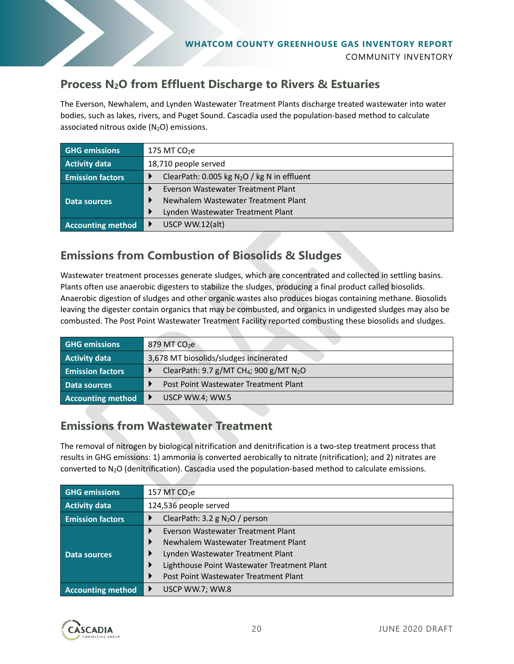

### **Process N2O from Effluent Discharge to Rivers & Estuaries**

The Everson, Newhalem, and Lynden Wastewater Treatment Plants discharge treated wastewater into water bodies, such as lakes, rivers, and Puget Sound. Cascadia used the population-based method to calculate associated nitrous oxide  $(N_2O)$  emissions.

| <b>GHG</b> emissions     | $175$ MT $CO2e$                               |
|--------------------------|-----------------------------------------------|
| <b>Activity data</b>     | 18,710 people served                          |
| <b>Emission factors</b>  | ClearPath: 0.005 kg $N_2O$ / kg N in effluent |
| Data sources             | Everson Wastewater Treatment Plant            |
|                          | Newhalem Wastewater Treatment Plant           |
|                          | Lynden Wastewater Treatment Plant             |
| <b>Accounting method</b> | USCP WW.12(alt)                               |

### **Emissions from Combustion of Biosolids & Sludges**

Wastewater treatment processes generate sludges, which are concentrated and collected in settling basins. Plants often use anaerobic digesters to stabilize the sludges, producing a final product called biosolids. Anaerobic digestion of sludges and other organic wastes also produces biogas containing methane. Biosolids leaving the digester contain organics that may be combusted, and organics in undigested sludges may also be combusted. The Post Point Wastewater Treatment Facility reported combusting these biosolids and sludges.

| <b>GHG emissions</b>     | 879 MT CO <sub>2</sub> e                                        |
|--------------------------|-----------------------------------------------------------------|
| <b>Activity data</b>     | 3,678 MT biosolids/sludges incinerated                          |
| <b>Emission factors</b>  | ClearPath: 9.7 g/MT CH <sub>4</sub> ; 900 g/MT N <sub>2</sub> O |
| Data sources             | Post Point Wastewater Treatment Plant                           |
| <b>Accounting method</b> | USCP WW.4; WW.5                                                 |

### **Emissions from Wastewater Treatment**

The removal of nitrogen by biological nitrification and denitrification is a two-step treatment process that results in GHG emissions: 1) ammonia is converted aerobically to nitrate (nitrification); and 2) nitrates are converted to N2O (denitrification). Cascadia used the population-based method to calculate emissions.

| <b>GHG</b> emissions     | 157 MT $CO2e$                               |
|--------------------------|---------------------------------------------|
| <b>Activity data</b>     | 124,536 people served                       |
| <b>Emission factors</b>  | ClearPath: 3.2 g $N_2O$ / person            |
| Data sources             | Everson Wastewater Treatment Plant          |
|                          | Newhalem Wastewater Treatment Plant         |
|                          | Lynden Wastewater Treatment Plant           |
|                          | Lighthouse Point Wastewater Treatment Plant |
|                          | Post Point Wastewater Treatment Plant       |
| <b>Accounting method</b> | USCP WW.7; WW.8                             |

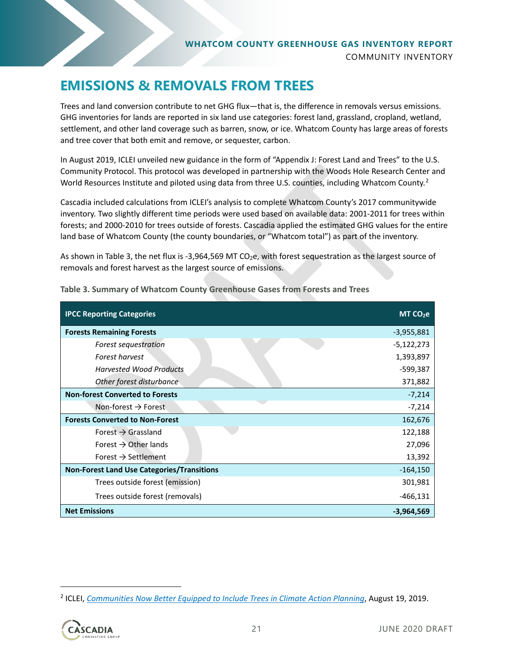### <span id="page-20-0"></span>**EMISSIONS & REMOVALS FROM TREES**

Trees and land conversion contribute to net GHG flux—that is, the difference in removals versus emissions. GHG inventories for lands are reported in six land use categories: forest land, grassland, cropland, wetland, settlement, and other land coverage such as barren, snow, or ice. Whatcom County has large areas of forests and tree cover that both emit and remove, or sequester, carbon.

In August 2019, ICLEI unveiled new guidance in the form of "Appendix J: Forest Land and Trees" to the U.S. Community Protocol. This protocol was developed in partnership with the Woods Hole Research Center and World Resources Institute and piloted using data from three U.S. counties, including Whatcom County.<sup>[2](#page-20-2)</sup>

Cascadia included calculations from ICLEI's analysis to complete Whatcom County's 2017 communitywide inventory. Two slightly different time periods were used based on available data: 2001-2011 for trees within forests; and 2000-2010 for trees outside of forests. Cascadia applied the estimated GHG values for the entire land base of Whatcom County (the county boundaries, or "Whatcom total") as part of the inventory.

As shown i[n Table 3,](#page-20-1) the net flux is -3,964,569 MT CO<sub>2</sub>e, with forest sequestration as the largest source of removals and forest harvest as the largest source of emissions.

| <b>IPCC Reporting Categories</b>                  | MT CO <sub>2</sub> e |
|---------------------------------------------------|----------------------|
| <b>Forests Remaining Forests</b>                  | $-3,955,881$         |
| Forest sequestration                              | $-5,122,273$         |
| <b>Forest harvest</b>                             | 1,393,897            |
| <b>Harvested Wood Products</b>                    | -599,387             |
| Other forest disturbance                          | 371,882              |
| <b>Non-forest Converted to Forests</b>            | $-7,214$             |
| Non-forest $\rightarrow$ Forest                   | $-7,214$             |
| <b>Forests Converted to Non-Forest</b>            | 162,676              |
| Forest $\rightarrow$ Grassland                    | 122,188              |
| Forest $\rightarrow$ Other lands                  | 27,096               |
| Forest $\rightarrow$ Settlement                   | 13,392               |
| <b>Non-Forest Land Use Categories/Transitions</b> | $-164,150$           |
| Trees outside forest (emission)                   | 301,981              |
| Trees outside forest (removals)                   | -466,131             |
| <b>Net Emissions</b><br>$-3,964,569$              |                      |

<span id="page-20-1"></span>**Table 3. Summary of Whatcom County Greenhouse Gases from Forests and Trees**

<span id="page-20-2"></span><sup>2</sup> ICLEI, *[Communities Now Better Equipped to Include Trees in Climate Action Planning](https://icleiusa.org/communities-now-better-equipped-to-include-trees-in-climate-action-planning/)*, August 19, 2019.

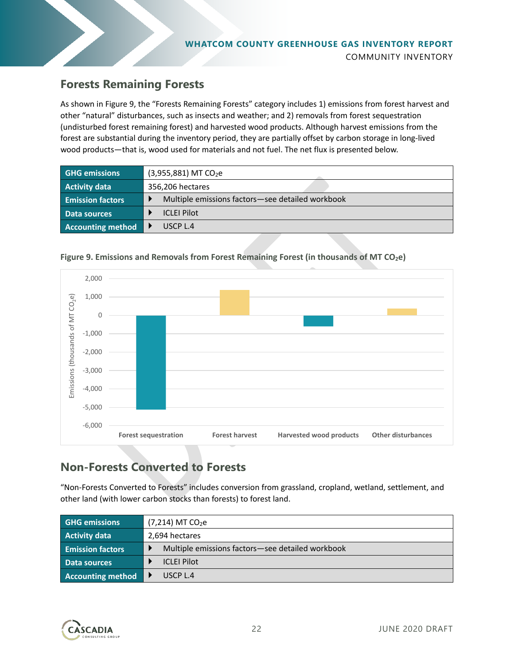### **Forests Remaining Forests**

As shown i[n Figure 9,](#page-21-0) the "Forests Remaining Forests" category includes 1) emissions from forest harvest and other "natural" disturbances, such as insects and weather; and 2) removals from forest sequestration (undisturbed forest remaining forest) and harvested wood products. Although harvest emissions from the forest are substantial during the inventory period, they are partially offset by carbon storage in long-lived wood products—that is, wood used for materials and not fuel. The net flux is presented below.

| <b>GHG emissions</b>     | $(3,955,881)$ MT CO <sub>2</sub> e               |
|--------------------------|--------------------------------------------------|
| <b>Activity data</b>     | 356,206 hectares                                 |
| <b>Emission factors</b>  | Multiple emissions factors-see detailed workbook |
| Data sources             | <b>ICLEI Pilot</b>                               |
| <b>Accounting method</b> | USCP 1.4                                         |



#### <span id="page-21-0"></span>Figure 9. Emissions and Removals from Forest Remaining Forest (in thousands of MT CO<sub>2</sub>e)

### **Non-Forests Converted to Forests**

"Non-Forests Converted to Forests" includes conversion from grassland, cropland, wetland, settlement, and other land (with lower carbon stocks than forests) to forest land.

| <b>GHG emissions</b>     | $(7,214)$ MT CO <sub>2</sub> e                   |
|--------------------------|--------------------------------------------------|
| <b>Activity data</b>     | 2,694 hectares                                   |
| <b>Emission factors</b>  | Multiple emissions factors-see detailed workbook |
| Data sources             | <b>ICLEI Pilot</b>                               |
| <b>Accounting method</b> | USCP L.4                                         |

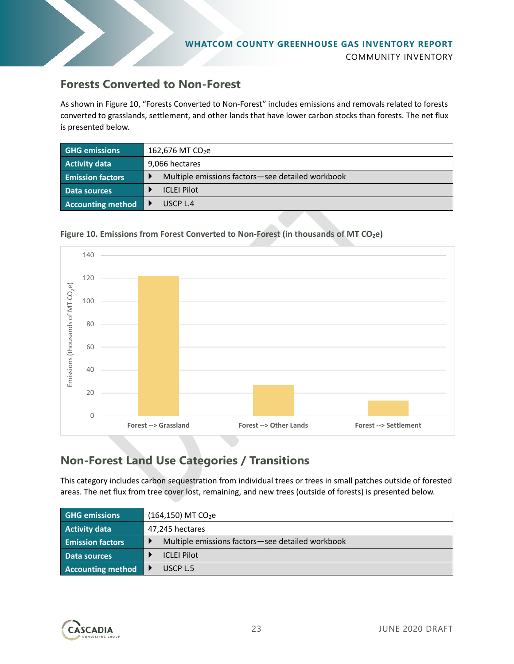

#### **Forests Converted to Non-Forest**

As shown i[n Figure 10,](#page-22-0) "Forests Converted to Non-Forest" includes emissions and removals related to forests converted to grasslands, settlement, and other lands that have lower carbon stocks than forests. The net flux is presented below.

| <b>GHG emissions</b>     | 162,676 MT CO <sub>2</sub> e                     |
|--------------------------|--------------------------------------------------|
| <b>Activity data</b>     | 9,066 hectares                                   |
| <b>Emission factors</b>  | Multiple emissions factors-see detailed workbook |
| Data sources             | <b>ICLEI Pilot</b>                               |
| <b>Accounting method</b> | USCP1.4                                          |

#### <span id="page-22-0"></span>Figure 10. Emissions from Forest Converted to Non-Forest (in thousands of MT CO<sub>2</sub>e)



### **Non-Forest Land Use Categories / Transitions**

This category includes carbon sequestration from individual trees or trees in small patches outside of forested areas. The net flux from tree cover lost, remaining, and new trees (outside of forests) is presented below.

| <b>GHG emissions</b>     | $(164, 150)$ MT CO <sub>2</sub> e                |
|--------------------------|--------------------------------------------------|
| <b>Activity data</b>     | 47,245 hectares                                  |
| <b>Emission factors</b>  | Multiple emissions factors-see detailed workbook |
| Data sources             | <b>ICLEI Pilot</b>                               |
| <b>Accounting method</b> | USCP L.5                                         |

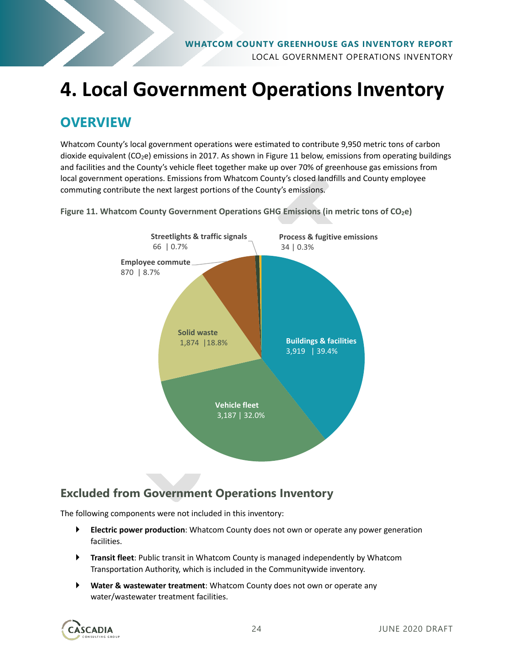

# **4. Local Government Operations Inventory**

### **OVERVIEW**

Whatcom County's local government operations were estimated to contribute 9,950 metric tons of carbon dioxide equivalent ( $CO<sub>2</sub>e$ ) emissions in 2017. As shown i[n Figure 11](#page-23-0) below, emissions from operating buildings and facilities and the County's vehicle fleet together make up over 70% of greenhouse gas emissions from local government operations. Emissions from Whatcom County's closed landfills and County employee commuting contribute the next largest portions of the County's emissions.



<span id="page-23-0"></span>**Figure 11. Whatcom County Government Operations GHG Emissions (in metric tons of CO<sub>2</sub>e)** 

### **Excluded from Government Operations Inventory**

The following components were not included in this inventory:

- **Electric power production**: Whatcom County does not own or operate any power generation facilities.
- **Transit fleet**: Public transit in Whatcom County is managed independently by Whatcom Transportation Authority, which is included in the Communitywide inventory.
- **Water & wastewater treatment**: Whatcom County does not own or operate any water/wastewater treatment facilities.

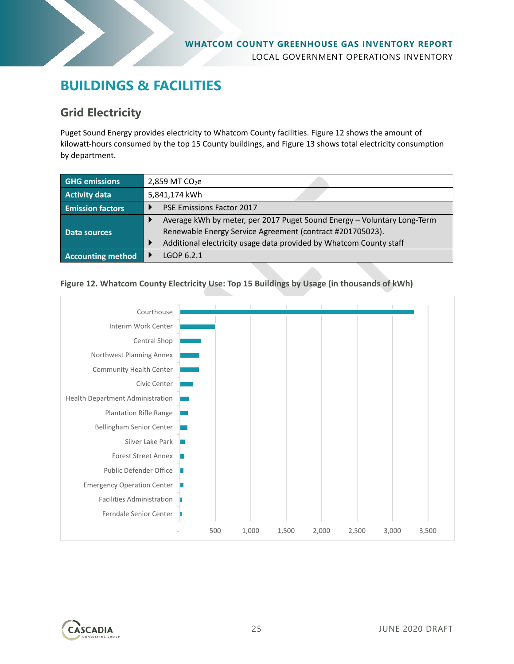### **BUILDINGS & FACILITIES**

### **Grid Electricity**

Puget Sound Energy provides electricity to Whatcom County facilities[. Figure 12](#page-24-0) shows the amount of kilowatt-hours consumed by the top 15 County buildings, and [Figure 13](#page-25-0) shows total electricity consumption by department.

| <b>GHG emissions</b>     | 2,859 MT $CO2e$                                                         |
|--------------------------|-------------------------------------------------------------------------|
| <b>Activity data</b>     | 5,841,174 kWh                                                           |
| <b>Emission factors</b>  | <b>PSE Emissions Factor 2017</b>                                        |
|                          | Average kWh by meter, per 2017 Puget Sound Energy - Voluntary Long-Term |
| Data sources             | Renewable Energy Service Agreement (contract #201705023).               |
|                          | Additional electricity usage data provided by Whatcom County staff      |
| <b>Accounting method</b> | LGOP 6.2.1                                                              |

#### <span id="page-24-0"></span>**Figure 12. Whatcom County Electricity Use: Top 15 Buildings by Usage (in thousands of kWh)**



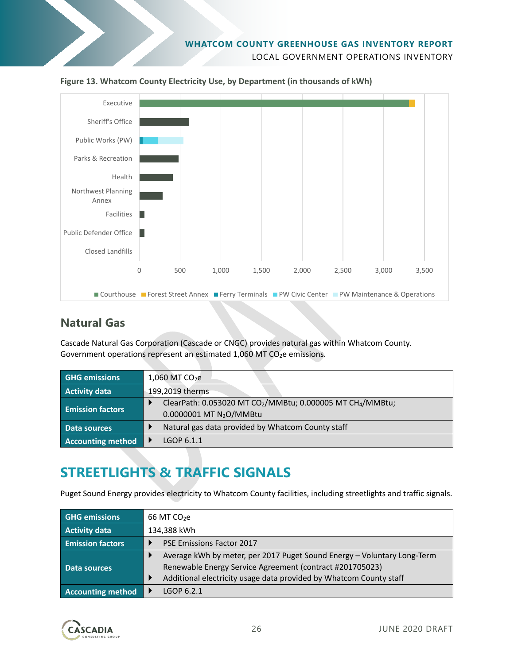



<span id="page-25-0"></span>

#### **Natural Gas**

Cascade Natural Gas Corporation (Cascade or CNGC) provides natural gas within Whatcom County. Government operations represent an estimated 1,060 MT CO<sub>2</sub>e emissions.

| <b>GHG</b> emissions     | 1,060 MT CO <sub>2</sub> e                                                         |  |  |  |  |
|--------------------------|------------------------------------------------------------------------------------|--|--|--|--|
| <b>Activity data</b>     | 199,2019 therms                                                                    |  |  |  |  |
| <b>Emission factors</b>  | ClearPath: 0.053020 MT CO <sub>2</sub> /MMBtu; 0.000005 MT CH <sub>4</sub> /MMBtu; |  |  |  |  |
|                          | 0.0000001 MT N <sub>2</sub> O/MMBtu                                                |  |  |  |  |
| <b>Data sources</b>      | Natural gas data provided by Whatcom County staff                                  |  |  |  |  |
| <b>Accounting method</b> | LGOP 6.1.1                                                                         |  |  |  |  |

### **STREETLIGHTS & TRAFFIC SIGNALS**

Puget Sound Energy provides electricity to Whatcom County facilities, including streetlights and traffic signals.

| <b>GHG emissions</b>     | 66 MT $CO2e$                                                            |  |  |  |
|--------------------------|-------------------------------------------------------------------------|--|--|--|
| <b>Activity data</b>     | 134,388 kWh                                                             |  |  |  |
| <b>Emission factors</b>  | <b>PSE Emissions Factor 2017</b>                                        |  |  |  |
|                          | Average kWh by meter, per 2017 Puget Sound Energy - Voluntary Long-Term |  |  |  |
| Data sources             | Renewable Energy Service Agreement (contract #201705023)                |  |  |  |
|                          | Additional electricity usage data provided by Whatcom County staff      |  |  |  |
| <b>Accounting method</b> | LGOP 6.2.1                                                              |  |  |  |

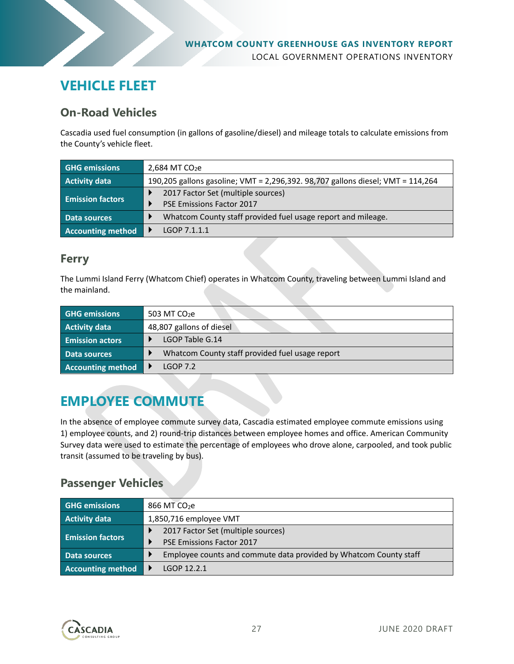

### **VEHICLE FLEET**

#### **On-Road Vehicles**

Cascadia used fuel consumption (in gallons of gasoline/diesel) and mileage totals to calculate emissions from the County's vehicle fleet.

| <b>GHG emissions</b>     | 2,684 MT $CO2e$                                                                                  |  |  |  |
|--------------------------|--------------------------------------------------------------------------------------------------|--|--|--|
| <b>Activity data</b>     | 190,205 gallons gasoline; VMT = 2,296,392. 98,707 gallons diesel; VMT = 114,264                  |  |  |  |
| <b>Emission factors</b>  | 2017 Factor Set (multiple sources)                                                               |  |  |  |
| Data sources             | <b>PSE Emissions Factor 2017</b><br>Whatcom County staff provided fuel usage report and mileage. |  |  |  |
| <b>Accounting method</b> | LGOP 7.1.1.1                                                                                     |  |  |  |

#### **Ferry**

The Lummi Island Ferry (Whatcom Chief) operates in Whatcom County, traveling between Lummi Island and the mainland.

| <b>GHG emissions</b>     | 503 MT CO <sub>2</sub> e                        |  |  |  |  |
|--------------------------|-------------------------------------------------|--|--|--|--|
| <b>Activity data</b>     | 48,807 gallons of diesel                        |  |  |  |  |
| <b>Emission actors</b>   | LGOP Table G.14                                 |  |  |  |  |
| Data sources             | Whatcom County staff provided fuel usage report |  |  |  |  |
| <b>Accounting method</b> | $LGOP$ 7.2                                      |  |  |  |  |

### **EMPLOYEE COMMUTE**

In the absence of employee commute survey data, Cascadia estimated employee commute emissions using 1) employee counts, and 2) round-trip distances between employee homes and office. American Community Survey data were used to estimate the percentage of employees who drove alone, carpooled, and took public transit (assumed to be traveling by bus).

### **Passenger Vehicles**

| <b>GHG emissions</b>     | 866 MT CO <sub>2</sub> e                                          |  |  |  |
|--------------------------|-------------------------------------------------------------------|--|--|--|
| <b>Activity data</b>     | 1,850,716 employee VMT                                            |  |  |  |
|                          | 2017 Factor Set (multiple sources)                                |  |  |  |
| <b>Emission factors</b>  | <b>PSE Emissions Factor 2017</b>                                  |  |  |  |
| Data sources             | Employee counts and commute data provided by Whatcom County staff |  |  |  |
| <b>Accounting method</b> | LGOP 12.2.1                                                       |  |  |  |

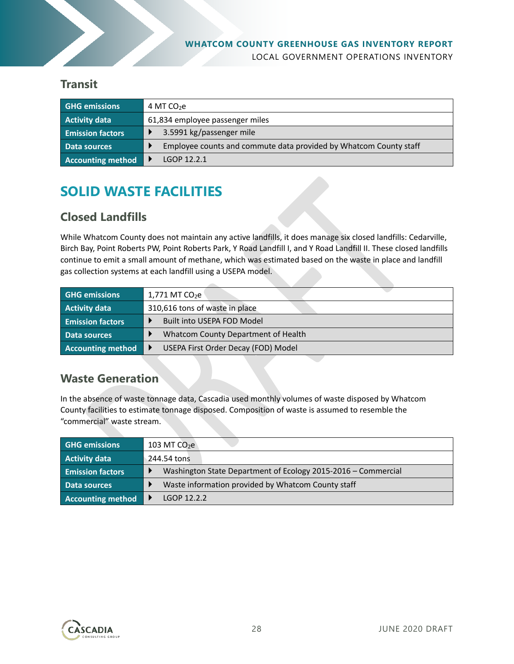

#### **Transit**

| <b>GHG emissions</b>     | 4 MT $CO2e$                                                       |  |  |  |
|--------------------------|-------------------------------------------------------------------|--|--|--|
| <b>Activity data</b>     | 61,834 employee passenger miles                                   |  |  |  |
| <b>Emission factors</b>  | 3.5991 kg/passenger mile                                          |  |  |  |
| Data sources             | Employee counts and commute data provided by Whatcom County staff |  |  |  |
| <b>Accounting method</b> | LGOP 12.2.1                                                       |  |  |  |

### **SOLID WASTE FACILITIES**

### **Closed Landfills**

While Whatcom County does not maintain any active landfills, it does manage six closed landfills: Cedarville, Birch Bay, Point Roberts PW, Point Roberts Park, Y Road Landfill I, and Y Road Landfill II. These closed landfills continue to emit a small amount of methane, which was estimated based on the waste in place and landfill gas collection systems at each landfill using a USEPA model.

| <b>GHG emissions</b>     | $1,771$ MT CO <sub>2</sub> e        |  |  |  |
|--------------------------|-------------------------------------|--|--|--|
| <b>Activity data</b>     | 310,616 tons of waste in place      |  |  |  |
| <b>Emission factors</b>  | Built into USEPA FOD Model          |  |  |  |
| Data sources             | Whatcom County Department of Health |  |  |  |
| <b>Accounting method</b> | USEPA First Order Decay (FOD) Model |  |  |  |

### **Waste Generation**

In the absence of waste tonnage data, Cascadia used monthly volumes of waste disposed by Whatcom County facilities to estimate tonnage disposed. Composition of waste is assumed to resemble the "commercial" waste stream.

| <b>GHG emissions</b>     | 103 MT $CO2$                                                  |  |  |
|--------------------------|---------------------------------------------------------------|--|--|
| <b>Activity data</b>     | 244.54 tons                                                   |  |  |
| <b>Emission factors</b>  | Washington State Department of Ecology 2015-2016 – Commercial |  |  |
| Data sources             | Waste information provided by Whatcom County staff            |  |  |
| <b>Accounting method</b> | LGOP 12.2.2                                                   |  |  |

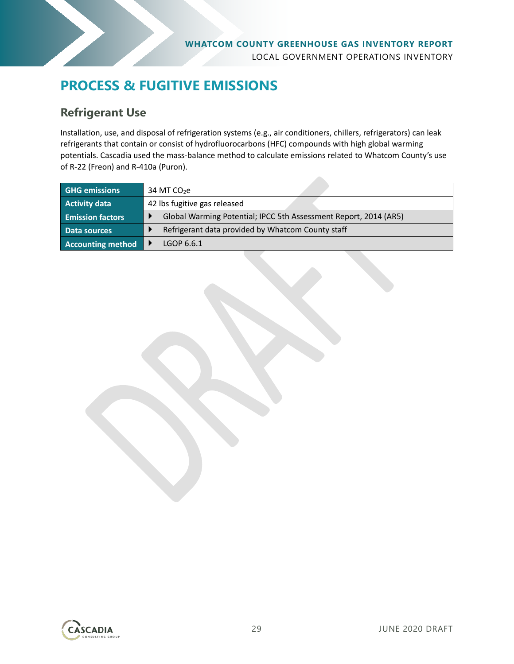

### **PROCESS & FUGITIVE EMISSIONS**

### **Refrigerant Use**

Installation, use, and disposal of refrigeration systems (e.g., air conditioners, chillers, refrigerators) can leak refrigerants that contain or consist of hydrofluorocarbons (HFC) compounds with high global warming potentials. Cascadia used the mass-balance method to calculate emissions related to Whatcom County's use of R-22 (Freon) and R-410a (Puron).

| <b>GHG emissions</b>    | 34 MT $CO2e$                                                     |  |  |  |  |
|-------------------------|------------------------------------------------------------------|--|--|--|--|
| <b>Activity data</b>    | 42 lbs fugitive gas released                                     |  |  |  |  |
| <b>Emission factors</b> | Global Warming Potential; IPCC 5th Assessment Report, 2014 (AR5) |  |  |  |  |
| Data sources            | Refrigerant data provided by Whatcom County staff                |  |  |  |  |
| Accounting method       | LGOP 6.6.1                                                       |  |  |  |  |

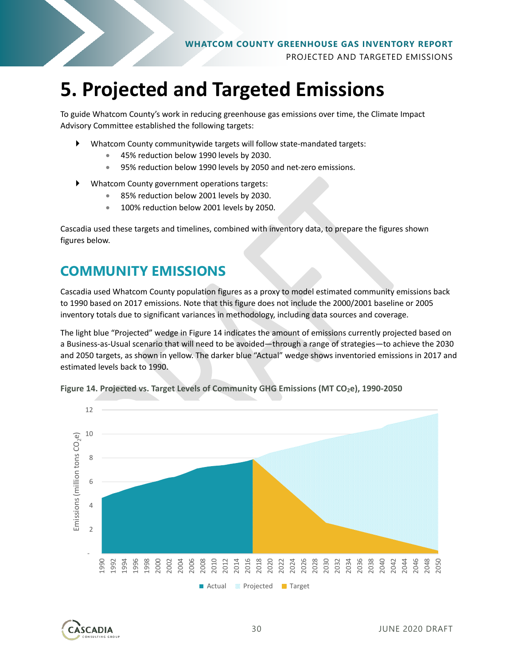

# **5. Projected and Targeted Emissions**

To guide Whatcom County's work in reducing greenhouse gas emissions over time, the Climate Impact Advisory Committee established the following targets:

- Whatcom County communitywide targets will follow state-mandated targets:
	- 45% reduction below 1990 levels by 2030.
	- 95% reduction below 1990 levels by 2050 and net-zero emissions.
- Whatcom County government operations targets:
	- 85% reduction below 2001 levels by 2030.
	- **100% reduction below 2001 levels by 2050.**

Cascadia used these targets and timelines, combined with inventory data, to prepare the figures shown figures below.

### **COMMUNITY EMISSIONS**

Cascadia used Whatcom County population figures as a proxy to model estimated community emissions back to 1990 based on 2017 emissions. Note that this figure does not include the 2000/2001 baseline or 2005 inventory totals due to significant variances in methodology, including data sources and coverage.

The light blue "Projected" wedge in [Figure 14](#page-29-0) indicates the amount of emissions currently projected based on a Business-as-Usual scenario that will need to be avoided—through a range of strategies—to achieve the 2030 and 2050 targets, as shown in yellow. The darker blue "Actual" wedge shows inventoried emissions in 2017 and estimated levels back to 1990.



<span id="page-29-0"></span>

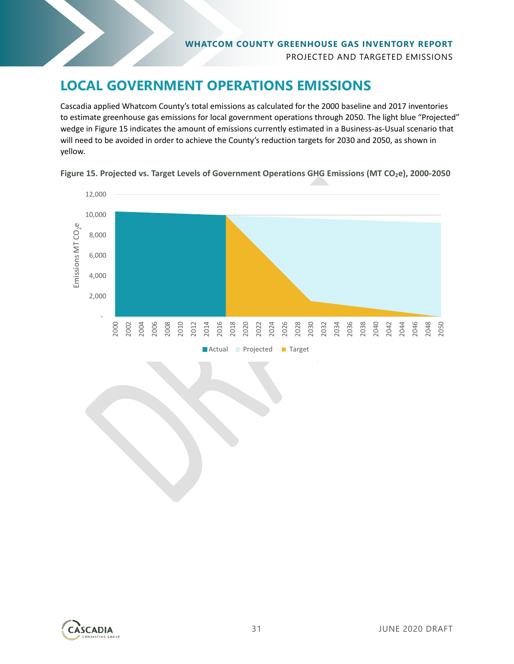

### **LOCAL GOVERNMENT OPERATIONS EMISSIONS**

Cascadia applied Whatcom County's total emissions as calculated for the 2000 baseline and 2017 inventories to estimate greenhouse gas emissions for local government operations through 2050. The light blue "Projected" wedge in [Figure 15](#page-30-0) indicates the amount of emissions currently estimated in a Business-as-Usual scenario that will need to be avoided in order to achieve the County's reduction targets for 2030 and 2050, as shown in yellow.



<span id="page-30-0"></span>Figure 15. Projected vs. Target Levels of Government Operations GHG Emissions (MT CO<sub>2</sub>e), 2000-2050

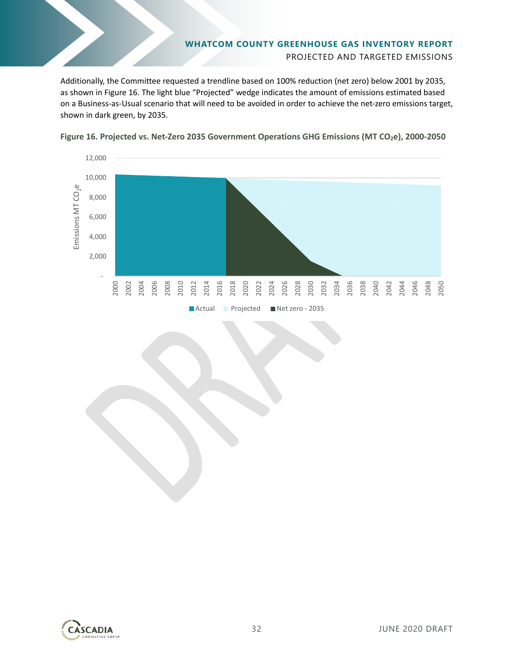# **WHATCOM COUNTY GREENHOUSE GAS INVENTORY REPORT** PROJECTED AND TARGETED EMISSIONS

Additionally, the Committee requested a trendline based on 100% reduction (net zero) below 2001 by 2035, as shown in [Figure 16.](#page-31-0) The light blue "Projected" wedge indicates the amount of emissions estimated based on a Business-as-Usual scenario that will need to be avoided in order to achieve the net-zero emissions target, shown in dark green, by 2035.



<span id="page-31-0"></span>**Figure 16. Projected vs. Net-Zero 2035 Government Operations GHG Emissions (MT CO2e), 2000-2050**